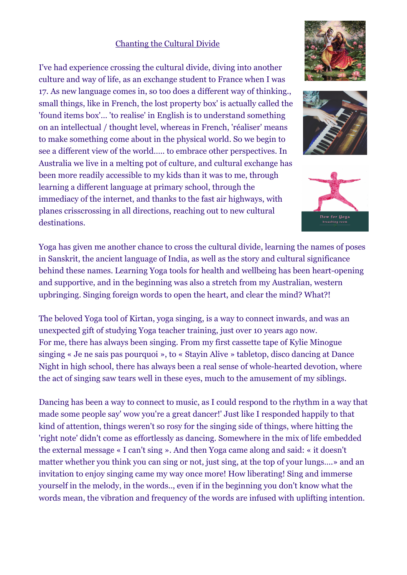## Chanting the Cultural Divide

I've had experience crossing the cultural divide, diving into another culture and way of life, as an exchange student to France when I was 17. As new language comes in, so too does a different way of thinking., small things, like in French, the lost property box' is actually called the 'found items box'… 'to realise' in English is to understand something on an intellectual / thought level, whereas in French, 'réaliser' means to make something come about in the physical world. So we begin to see a different view of the world….. to embrace other perspectives. In Australia we live in a melting pot of culture, and cultural exchange has been more readily accessible to my kids than it was to me, through learning a different language at primary school, through the immediacy of the internet, and thanks to the fast air highways, with planes crisscrossing in all directions, reaching out to new cultural destinations.

Yoga has given me another chance to cross the cultural divide, learning the names of poses in Sanskrit, the ancient language of India, as well as the story and cultural significance behind these names. Learning Yoga tools for health and wellbeing has been heart-opening and supportive, and in the beginning was also a stretch from my Australian, western upbringing. Singing foreign words to open the heart, and clear the mind? What?!

The beloved Yoga tool of Kirtan, yoga singing, is a way to connect inwards, and was an unexpected gift of studying Yoga teacher training, just over 10 years ago now. For me, there has always been singing. From my first cassette tape of Kylie Minogue singing « Je ne sais pas pourquoi », to « Stayin Alive » tabletop, disco dancing at Dance Night in high school, there has always been a real sense of whole-hearted devotion, where the act of singing saw tears well in these eyes, much to the amusement of my siblings.

Dancing has been a way to connect to music, as I could respond to the rhythm in a way that made some people say' wow you're a great dancer!' Just like I responded happily to that kind of attention, things weren't so rosy for the singing side of things, where hitting the 'right note' didn't come as effortlessly as dancing. Somewhere in the mix of life embedded the external message « I can't sing ». And then Yoga came along and said: « it doesn't matter whether you think you can sing or not, just sing, at the top of your lungs….» and an invitation to enjoy singing came my way once more! How liberating! Sing and immerse yourself in the melody, in the words.., even if in the beginning you don't know what the words mean, the vibration and frequency of the words are infused with uplifting intention.